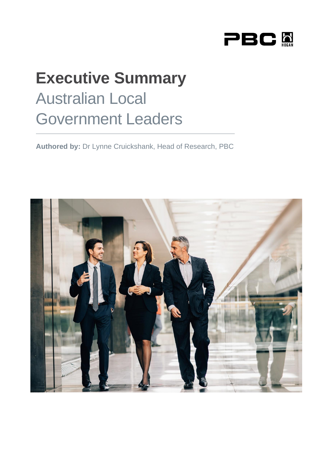

# **Executive Summary** Australian Local Government Leaders

**Authored by:** Dr Lynne Cruickshank, Head of Research, PBC

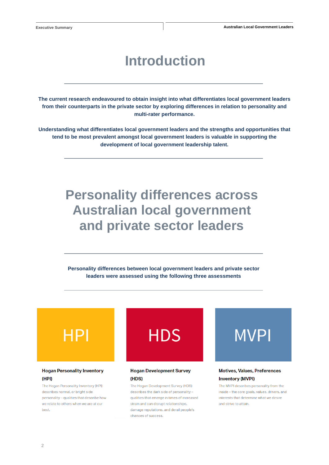### **Introduction**

**The current research endeavoured to obtain insight into what differentiates local government leaders from their counterparts in the private sector by exploring differences in relation to personality and multi-rater performance.** 

**Understanding what differentiates local government leaders and the strengths and opportunities that tend to be most prevalent amongst local government leaders is valuable in supporting the development of local government leadership talent.**

### **Personality differences across Australian local government and private sector leaders**

**Personality differences between local government leaders and private sector leaders were assessed using the following three assessments**



#### **Hogan Personality Inventory** (HPI)

The Hogan Personality Inventory (HPI) describes normal, or bright side personality - qualities that describe how we relate to others when we are at our hest



### **Hogan Development Survey** (HDS)

The Hogan Development Survey (HDS) describes the dark side of personality qualities that emerge in times of increased strain and can disrupt relationships. damage reputations, and derail people's chances of success.



### **Motives, Values, Preferences Inventory (MVPI)**

The MVPI describes personality from the inside - the core goals, values, drivers, and interests that determine what we desire and strive to attain.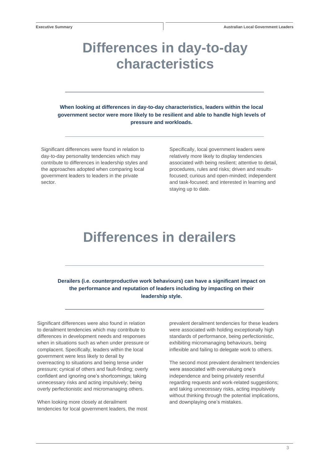### **Differences in day-to-day characteristics**

**When looking at differences in day-to-day characteristics, leaders within the local government sector were more likely to be resilient and able to handle high levels of pressure and workloads.**

Significant differences were found in relation to day-to-day personality tendencies which may contribute to differences in leadership styles and the approaches adopted when comparing local government leaders to leaders in the private sector.

Specifically, local government leaders were relatively more likely to display tendencies associated with being resilient; attentive to detail, procedures, rules and risks; driven and resultsfocused; curious and open-minded; independent and task-focused; and interested in learning and staying up to date.

### **Differences in derailers**

**Derailers (i.e. counterproductive work behaviours) can have a significant impact on the performance and reputation of leaders including by impacting on their leadership style.**

Significant differences were also found in relation to derailment tendencies which may contribute to differences in development needs and responses when in situations such as when under pressure or complacent. Specifically, leaders within the local government were less likely to derail by overreacting to situations and being tense under pressure; cynical of others and fault-finding; overly confident and ignoring one's shortcomings; taking unnecessary risks and acting impulsively; being overly perfectionistic and micromanaging others.

When looking more closely at derailment tendencies for local government leaders, the most prevalent derailment tendencies for these leaders were associated with holding exceptionally high standards of performance, being perfectionistic, exhibiting micromanaging behaviours, being inflexible and failing to delegate work to others.

The second most prevalent derailment tendencies were associated with overvaluing one's independence and being privately resentful regarding requests and work-related suggestions; and taking unnecessary risks, acting impulsively without thinking through the potential implications, and downplaying one's mistakes.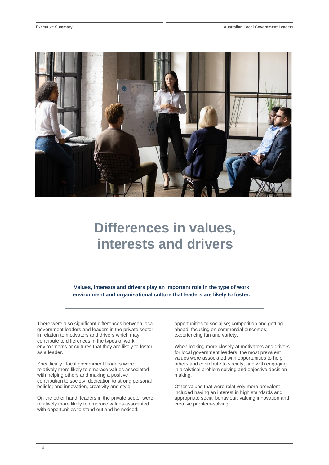

# **Differences in values, interests and drivers**

**Values, interests and drivers play an important role in the type of work environment and organisational culture that leaders are likely to foster.**

There were also significant differences between local government leaders and leaders in the private sector in relation to motivators and drivers which may contribute to differences in the types of work environments or cultures that they are likely to foster as a leader.

Specifically, local government leaders were relatively more likely to embrace values associated with helping others and making a positive contribution to society; dedication to strong personal beliefs; and innovation, creativity and style.

On the other hand, leaders in the private sector were relatively more likely to embrace values associated with opportunities to stand out and be noticed;

opportunities to socialise; competition and getting ahead; focusing on commercial outcomes; experiencing fun and variety.

When looking more closely at motivators and drivers for local government leaders, the most prevalent values were associated with opportunities to help others and contribute to society; and with engaging in analytical problem solving and objective decision making.

Other values that were relatively more prevalent included having an interest in high standards and appropriate social behaviour; valuing innovation and creative problem-solving.

4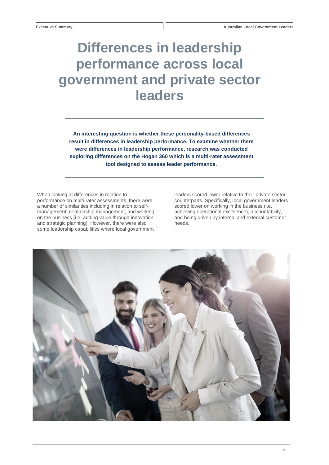# **Differences in leadership performance across local government and private sector leaders**

**An interesting question is whether these personality-based differences result in differences in leadership performance. To examine whether there were differences in leadership performance, research was conducted exploring differences on the Hogan 360 which is a multi-rater assessment tool designed to assess leader performance.**

When looking at differences in relation to performance on multi-rater assessments, there were a number of similarities including in relation to selfmanagement, relationship management, and working on the business (i.e. adding value through innovation and strategic planning). However, there were also some leadership capabilities where local government leaders scored lower relative to their private sector counterparts. Specifically, local government leaders scored lower on working in the business (i.e. achieving operational excellence), accountability, and being driven by internal and external customer needs.

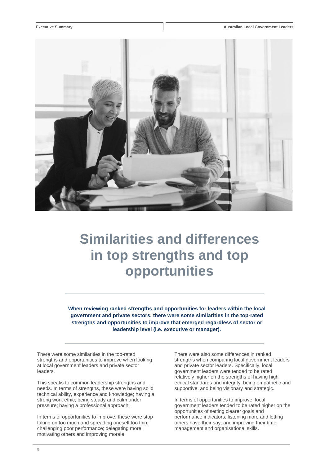

# **Similarities and differences in top strengths and top opportunities**

**When reviewing ranked strengths and opportunities for leaders within the local government and private sectors, there were some similarities in the top-rated strengths and opportunities to improve that emerged regardless of sector or leadership level (i.e. executive or manager).**

There were some similarities in the top-rated strengths and opportunities to improve when looking at local government leaders and private sector leaders.

This speaks to common leadership strengths and needs. In terms of strengths, these were having solid technical ability, experience and knowledge; having a strong work ethic; being steady and calm under pressure; having a professional approach.

In terms of opportunities to improve, these were stop taking on too much and spreading oneself too thin; challenging poor performance; delegating more; motivating others and improving morale.

There were also some differences in ranked strengths when comparing local government leaders and private sector leaders. Specifically, local government leaders were tended to be rated relatively higher on the strengths of having high ethical standards and integrity, being empathetic and supportive, and being visionary and strategic.

In terms of opportunities to improve, local government leaders tended to be rated higher on the opportunities of setting clearer goals and performance indicators; listening more and letting others have their say; and improving their time management and organisational skills.